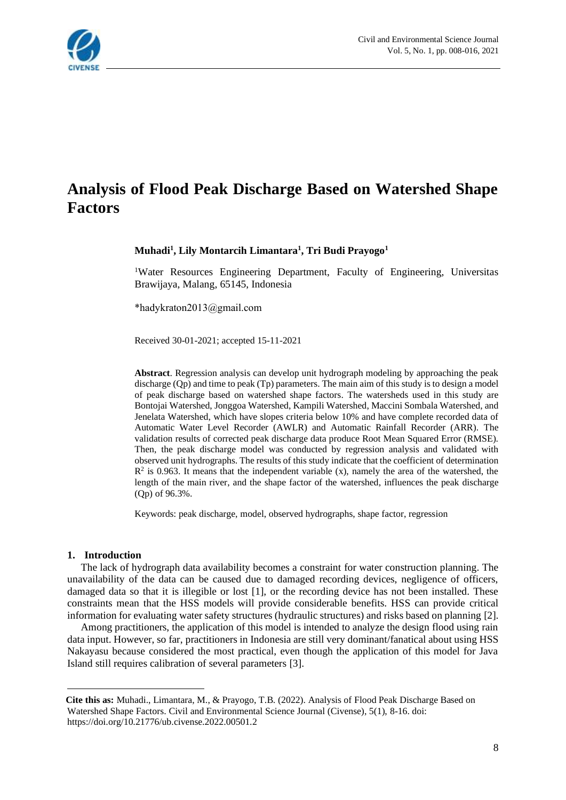

# **Analysis of Flood Peak Discharge Based on Watershed Shape Factors**

**Muhadi<sup>1</sup> , Lily Montarcih Limantara<sup>1</sup> , Tri Budi Prayogo<sup>1</sup>** 

<sup>1</sup>Water Resources Engineering Department, Faculty of Engineering, Universitas Brawijaya, Malang, 65145, Indonesia<sup>1</sup>

\*hadykraton2013@gmail.com

Received 30-01-2021; accepted 15-11-2021

**Abstract**. Regression analysis can develop unit hydrograph modeling by approaching the peak discharge (Qp) and time to peak (Tp) parameters. The main aim of this study is to design a model of peak discharge based on watershed shape factors. The watersheds used in this study are Bontojai Watershed, Jonggoa Watershed, Kampili Watershed, Maccini Sombala Watershed, and Jenelata Watershed, which have slopes criteria below 10% and have complete recorded data of Automatic Water Level Recorder (AWLR) and Automatic Rainfall Recorder (ARR). The validation results of corrected peak discharge data produce Root Mean Squared Error (RMSE). Then, the peak discharge model was conducted by regression analysis and validated with observed unit hydrographs. The results of this study indicate that the coefficient of determination  $\mathbb{R}^2$  is 0.963. It means that the independent variable (x), namely the area of the watershed, the length of the main river, and the shape factor of the watershed, influences the peak discharge (Qp) of 96.3%.

Keywords: peak discharge, model, observed hydrographs, shape factor, regression

#### **1. Introduction**

The lack of hydrograph data availability becomes a constraint for water construction planning. The unavailability of the data can be caused due to damaged recording devices, negligence of officers, damaged data so that it is illegible or lost [1], or the recording device has not been installed. These constraints mean that the HSS models will provide considerable benefits. HSS can provide critical information for evaluating water safety structures (hydraulic structures) and risks based on planning [2].

Among practitioners, the application of this model is intended to analyze the design flood using rain data input. However, so far, practitioners in Indonesia are still very dominant/fanatical about using HSS Nakayasu because considered the most practical, even though the application of this model for Java Island still requires calibration of several parameters [3].

<sup>1</sup> **Cite this as:** Muhadi., Limantara, M., & Prayogo, T.B. (2022). Analysis of Flood Peak Discharge Based on Watershed Shape Factors. Civil and Environmental Science Journal (Civense), 5(1), 8-16. doi: https://doi.org/10.21776/ub.civense.2022.00501.2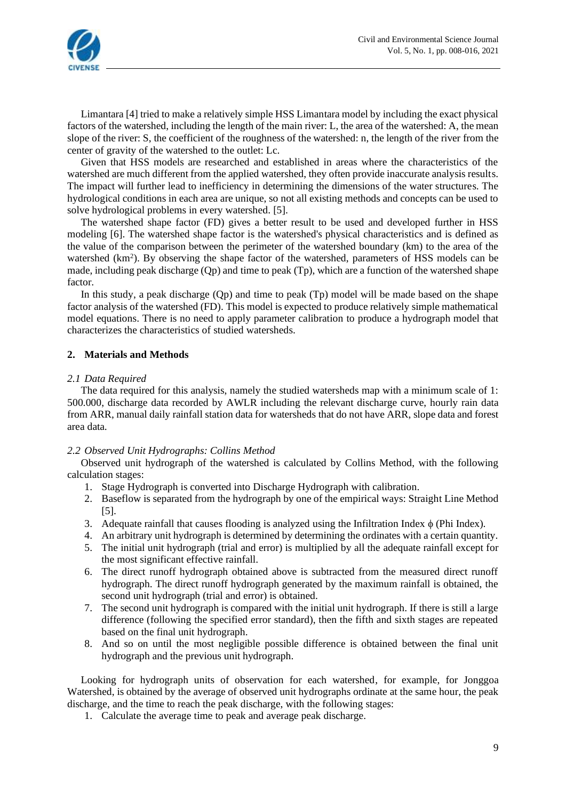

Limantara [4] tried to make a relatively simple HSS Limantara model by including the exact physical factors of the watershed, including the length of the main river: L, the area of the watershed: A, the mean slope of the river: S, the coefficient of the roughness of the watershed: n, the length of the river from the center of gravity of the watershed to the outlet: Lc.

Given that HSS models are researched and established in areas where the characteristics of the watershed are much different from the applied watershed, they often provide inaccurate analysis results. The impact will further lead to inefficiency in determining the dimensions of the water structures. The hydrological conditions in each area are unique, so not all existing methods and concepts can be used to solve hydrological problems in every watershed. [5].

The watershed shape factor (FD) gives a better result to be used and developed further in HSS modeling [6]. The watershed shape factor is the watershed's physical characteristics and is defined as the value of the comparison between the perimeter of the watershed boundary (km) to the area of the watershed (km<sup>2</sup>). By observing the shape factor of the watershed, parameters of HSS models can be made, including peak discharge (Qp) and time to peak (Tp), which are a function of the watershed shape factor.

In this study, a peak discharge (Qp) and time to peak (Tp) model will be made based on the shape factor analysis of the watershed (FD). This model is expected to produce relatively simple mathematical model equations. There is no need to apply parameter calibration to produce a hydrograph model that characterizes the characteristics of studied watersheds.

# **2. Materials and Methods**

#### *2.1 Data Required*

The data required for this analysis, namely the studied watersheds map with a minimum scale of 1: 500.000, discharge data recorded by AWLR including the relevant discharge curve, hourly rain data from ARR, manual daily rainfall station data for watersheds that do not have ARR, slope data and forest area data.

#### *2.2 Observed Unit Hydrographs: Collins Method*

Observed unit hydrograph of the watershed is calculated by Collins Method, with the following calculation stages:

- 1. Stage Hydrograph is converted into Discharge Hydrograph with calibration.
- 2. Baseflow is separated from the hydrograph by one of the empirical ways: Straight Line Method [5].
- 3. Adequate rainfall that causes flooding is analyzed using the Infiltration Index  $\phi$  (Phi Index).
- 4. An arbitrary unit hydrograph is determined by determining the ordinates with a certain quantity.
- 5. The initial unit hydrograph (trial and error) is multiplied by all the adequate rainfall except for the most significant effective rainfall.
- 6. The direct runoff hydrograph obtained above is subtracted from the measured direct runoff hydrograph. The direct runoff hydrograph generated by the maximum rainfall is obtained, the second unit hydrograph (trial and error) is obtained.
- 7. The second unit hydrograph is compared with the initial unit hydrograph. If there is still a large difference (following the specified error standard), then the fifth and sixth stages are repeated based on the final unit hydrograph.
- 8. And so on until the most negligible possible difference is obtained between the final unit hydrograph and the previous unit hydrograph.

Looking for hydrograph units of observation for each watershed, for example, for Jonggoa Watershed, is obtained by the average of observed unit hydrographs ordinate at the same hour, the peak discharge, and the time to reach the peak discharge, with the following stages:

1. Calculate the average time to peak and average peak discharge.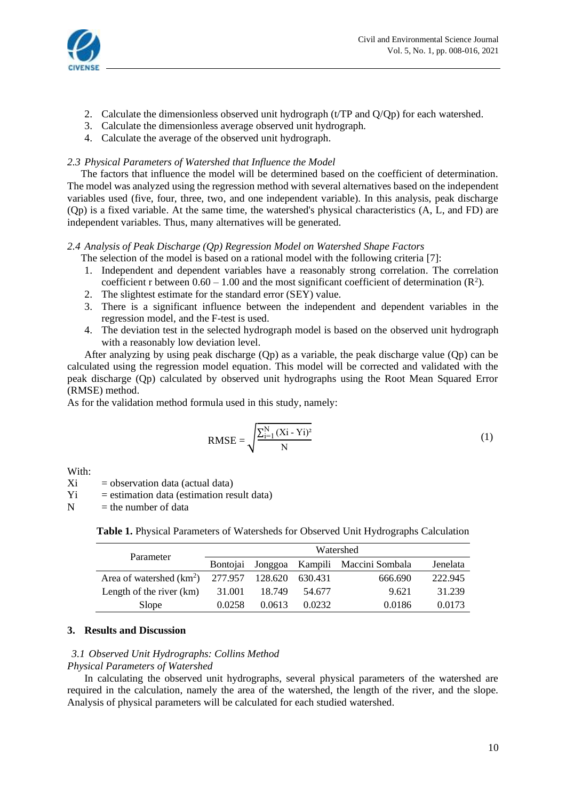

- 2. Calculate the dimensionless observed unit hydrograph (t/TP and Q/Qp) for each watershed.
- 3. Calculate the dimensionless average observed unit hydrograph.
- 4. Calculate the average of the observed unit hydrograph.

### *2.3 Physical Parameters of Watershed that Influence the Model*

The factors that influence the model will be determined based on the coefficient of determination. The model was analyzed using the regression method with several alternatives based on the independent variables used (five, four, three, two, and one independent variable). In this analysis, peak discharge (Qp) is a fixed variable. At the same time, the watershed's physical characteristics (A, L, and FD) are independent variables. Thus, many alternatives will be generated.

# *2.4 Analysis of Peak Discharge (Qp) Regression Model on Watershed Shape Factors*

The selection of the model is based on a rational model with the following criteria [7]:

- 1. Independent and dependent variables have a reasonably strong correlation. The correlation coefficient r between  $0.60 - 1.00$  and the most significant coefficient of determination ( $\mathbb{R}^2$ ).
- 2. The slightest estimate for the standard error (SEY) value.
- 3. There is a significant influence between the independent and dependent variables in the regression model, and the F-test is used.
- 4. The deviation test in the selected hydrograph model is based on the observed unit hydrograph with a reasonably low deviation level.

After analyzing by using peak discharge (Qp) as a variable, the peak discharge value (Qp) can be calculated using the regression model equation. This model will be corrected and validated with the peak discharge (Qp) calculated by observed unit hydrographs using the Root Mean Squared Error (RMSE) method.

As for the validation method formula used in this study, namely:

RMSE = 
$$
\sqrt{\frac{\sum_{i=1}^{N} (Xi - Y_i)^2}{N}}
$$
 (1)

With:

 $Xi$  = observation data (actual data)

 $Y_i$  = estimation data (estimation result data)

 $N =$  the number of data

|  | Table 1. Physical Parameters of Watersheds for Observed Unit Hydrographs Calculation |  |  |  |  |  |
|--|--------------------------------------------------------------------------------------|--|--|--|--|--|
|--|--------------------------------------------------------------------------------------|--|--|--|--|--|

| Parameter                                  | Watershed       |        |         |                                 |          |  |  |
|--------------------------------------------|-----------------|--------|---------|---------------------------------|----------|--|--|
|                                            | <b>Bontojai</b> |        |         | Jonggoa Kampili Maccini Sombala | Jenelata |  |  |
| Area of watershed $(km^2)$ 277.957 128.620 |                 |        | 630.431 | 666.690                         | 222.945  |  |  |
| Length of the river (km)                   | 31.001          | 18.749 | 54.677  | 9.621                           | 31.239   |  |  |
| Slope                                      | 0.0258          | 0.0613 | 0.0232  | 0.0186                          | 0.0173   |  |  |

# **3. Results and Discussion**

#### *3.1 Observed Unit Hydrographs: Collins Method*

### *Physical Parameters of Watershed*

In calculating the observed unit hydrographs, several physical parameters of the watershed are required in the calculation, namely the area of the watershed, the length of the river, and the slope. Analysis of physical parameters will be calculated for each studied watershed.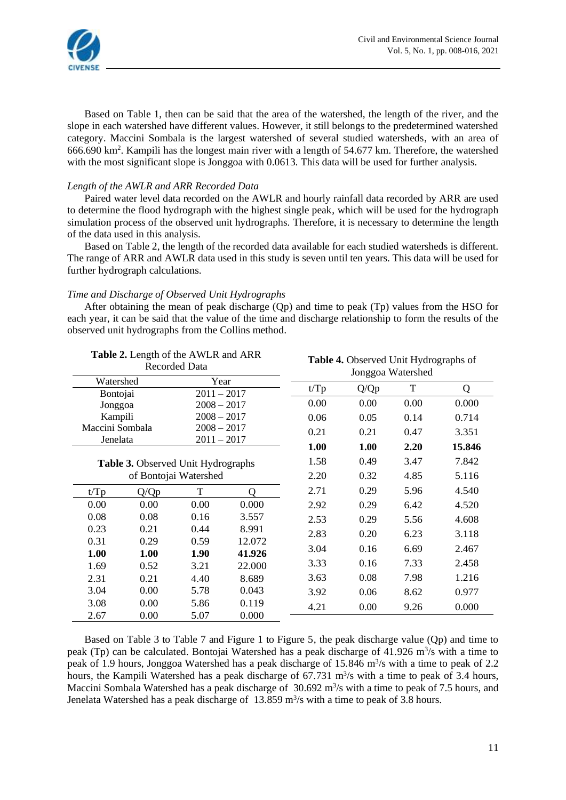

Based on Table 1, then can be said that the area of the watershed, the length of the river, and the slope in each watershed have different values. However, it still belongs to the predetermined watershed category. Maccini Sombala is the largest watershed of several studied watersheds, with an area of 666.690 km<sup>2</sup> . Kampili has the longest main river with a length of 54.677 km. Therefore, the watershed with the most significant slope is Jonggoa with 0.0613. This data will be used for further analysis.

#### *Length of the AWLR and ARR Recorded Data*

Paired water level data recorded on the AWLR and hourly rainfall data recorded by ARR are used to determine the flood hydrograph with the highest single peak, which will be used for the hydrograph simulation process of the observed unit hydrographs. Therefore, it is necessary to determine the length of the data used in this analysis.

Based on Table 2, the length of the recorded data available for each studied watersheds is different. The range of ARR and AWLR data used in this study is seven until ten years. This data will be used for further hydrograph calculations.

# *Time and Discharge of Observed Unit Hydrographs*

After obtaining the mean of peak discharge (Qp) and time to peak (Tp) values from the HSO for each year, it can be said that the value of the time and discharge relationship to form the results of the observed unit hydrographs from the Collins method.

|                 | Table 2. Length of the AWLR and ARR       | <b>Recorded Data</b> |        | <b>Table 4.</b> Observed Unit Hydrographs of<br>Jonggoa Watershed |      |       |        |  |
|-----------------|-------------------------------------------|----------------------|--------|-------------------------------------------------------------------|------|-------|--------|--|
| Watershed       |                                           | Year                 |        |                                                                   |      | T     |        |  |
| Bontojai        |                                           | $2011 - 2017$        |        | t/Tp                                                              | Q/Qp |       | Q      |  |
| Jonggoa         |                                           | $2008 - 2017$        |        | 0.00                                                              | 0.00 | 0.00  | 0.000  |  |
| Kampili         |                                           | $2008 - 2017$        |        | 0.06                                                              | 0.05 | 0.14  | 0.714  |  |
| Maccini Sombala |                                           | $2008 - 2017$        |        | 0.21                                                              | 0.21 | 0.47  | 3.351  |  |
| Jenelata        |                                           | $2011 - 2017$        |        | 1.00                                                              | 1.00 | 2.20  | 15.846 |  |
|                 | <b>Table 3.</b> Observed Unit Hydrographs |                      |        |                                                                   | 0.49 | 3.47  | 7.842  |  |
|                 | of Bontojai Watershed                     |                      | 2.20   | 0.32                                                              | 4.85 | 5.116 |        |  |
| t/Tp            | Q/Qp                                      | T                    | O      | 2.71                                                              | 0.29 | 5.96  | 4.540  |  |
| 0.00            | 0.00                                      | 0.00                 | 0.000  | 2.92                                                              | 0.29 | 6.42  | 4.520  |  |
| 0.08            | 0.08                                      | 0.16                 | 3.557  | 2.53                                                              | 0.29 | 5.56  | 4.608  |  |
| 0.23            | 0.21                                      | 0.44                 | 8.991  | 2.83                                                              | 0.20 | 6.23  | 3.118  |  |
| 0.31            | 0.29                                      | 0.59                 | 12.072 | 3.04                                                              | 0.16 | 6.69  | 2.467  |  |
| 1.00            | 1.00                                      | 1.90                 | 41.926 | 3.33                                                              | 0.16 | 7.33  | 2.458  |  |
| 1.69            | 0.52                                      | 3.21                 | 22.000 |                                                                   |      |       |        |  |
| 2.31            | 0.21                                      | 4.40                 | 8.689  | 3.63                                                              | 0.08 | 7.98  | 1.216  |  |
| 3.04            | 0.00                                      | 5.78                 | 0.043  | 3.92                                                              | 0.06 | 8.62  | 0.977  |  |
| 3.08            | 0.00                                      | 5.86                 | 0.119  | 4.21                                                              | 0.00 | 9.26  | 0.000  |  |
| 2.67            | 0.00                                      | 5.07                 | 0.000  |                                                                   |      |       |        |  |

Based on Table 3 to Table 7 and Figure 1 to Figure 5, the peak discharge value (Qp) and time to peak (Tp) can be calculated. Bontojai Watershed has a peak discharge of 41.926 m<sup>3</sup>/s with a time to peak of 1.9 hours, Jonggoa Watershed has a peak discharge of 15.846 m<sup>3</sup>/s with a time to peak of 2.2 hours, the Kampili Watershed has a peak discharge of 67.731 m<sup>3</sup>/s with a time to peak of 3.4 hours, Maccini Sombala Watershed has a peak discharge of  $30.692 \text{ m}^3/\text{s}$  with a time to peak of 7.5 hours, and Jenelata Watershed has a peak discharge of 13.859 m<sup>3</sup>/s with a time to peak of 3.8 hours.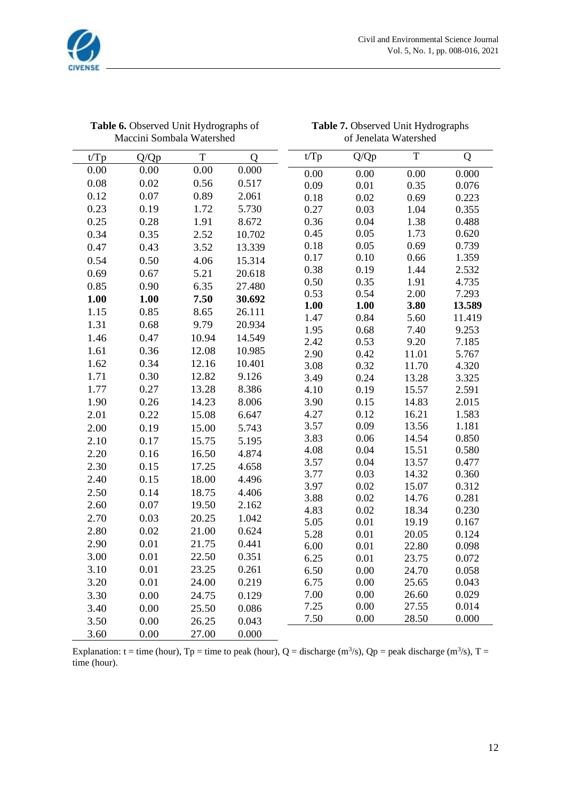

|      | Table 6. Observed Unit Hydrographs of<br>Maccini Sombala Watershed |       |             |              | Table 7. Observed Unit Hydrographs<br>of Jenelata Watershed |                |                |  |  |
|------|--------------------------------------------------------------------|-------|-------------|--------------|-------------------------------------------------------------|----------------|----------------|--|--|
| t/Tp | Q/Qp                                                               | T     | $\mathbf Q$ | t/Tp         | Q/Qp                                                        | $\mathbf T$    | Q              |  |  |
| 0.00 | 0.00                                                               | 0.00  | 0.000       | 0.00         | 0.00                                                        | 0.00           | 0.000          |  |  |
| 0.08 | 0.02                                                               | 0.56  | 0.517       | 0.09         | 0.01                                                        | 0.35           | 0.076          |  |  |
| 0.12 | 0.07                                                               | 0.89  | 2.061       | 0.18         | 0.02                                                        | 0.69           | 0.223          |  |  |
| 0.23 | 0.19                                                               | 1.72  | 5.730       | 0.27         | 0.03                                                        | 1.04           | 0.355          |  |  |
| 0.25 | 0.28                                                               | 1.91  | 8.672       | 0.36         | 0.04                                                        | 1.38           | 0.488          |  |  |
| 0.34 | 0.35                                                               | 2.52  | 10.702      | 0.45         | 0.05                                                        | 1.73           | 0.620          |  |  |
| 0.47 | 0.43                                                               | 3.52  | 13.339      | 0.18         | 0.05                                                        | 0.69           | 0.739          |  |  |
| 0.54 | 0.50                                                               | 4.06  | 15.314      | 0.17         | 0.10                                                        | 0.66           | 1.359          |  |  |
| 0.69 | 0.67                                                               | 5.21  | 20.618      | 0.38         | 0.19                                                        | 1.44           | 2.532          |  |  |
| 0.85 | 0.90                                                               | 6.35  | 27.480      | 0.50         | 0.35                                                        | 1.91           | 4.735          |  |  |
| 1.00 | 1.00                                                               | 7.50  | 30.692      | 0.53         | 0.54                                                        | 2.00           | 7.293          |  |  |
| 1.15 | 0.85                                                               | 8.65  | 26.111      | 1.00         | 1.00                                                        | 3.80           | 13.589         |  |  |
| 1.31 | 0.68                                                               | 9.79  | 20.934      | 1.47         | 0.84                                                        | 5.60           | 11.419         |  |  |
| 1.46 | 0.47                                                               | 10.94 | 14.549      | 1.95         | 0.68                                                        | 7.40           | 9.253          |  |  |
| 1.61 | 0.36                                                               | 12.08 | 10.985      | 2.42<br>2.90 | 0.53<br>0.42                                                | 9.20<br>11.01  | 7.185<br>5.767 |  |  |
| 1.62 | 0.34                                                               | 12.16 | 10.401      | 3.08         | 0.32                                                        | 11.70          | 4.320          |  |  |
| 1.71 | 0.30                                                               | 12.82 | 9.126       | 3.49         | 0.24                                                        | 13.28          | 3.325          |  |  |
| 1.77 | 0.27                                                               | 13.28 | 8.386       | 4.10         | 0.19                                                        | 15.57          | 2.591          |  |  |
| 1.90 | 0.26                                                               | 14.23 | 8.006       | 3.90         | 0.15                                                        | 14.83          | 2.015          |  |  |
| 2.01 | 0.22                                                               | 15.08 | 6.647       | 4.27         | 0.12                                                        | 16.21          | 1.583          |  |  |
| 2.00 | 0.19                                                               | 15.00 | 5.743       | 3.57         | 0.09                                                        | 13.56          | 1.181          |  |  |
| 2.10 | 0.17                                                               | 15.75 | 5.195       | 3.83         | 0.06                                                        | 14.54          | 0.850          |  |  |
| 2.20 | 0.16                                                               | 16.50 | 4.874       | 4.08         | 0.04                                                        | 15.51          | 0.580          |  |  |
| 2.30 | 0.15                                                               | 17.25 | 4.658       | 3.57         | 0.04                                                        | 13.57          | 0.477          |  |  |
| 2.40 | 0.15                                                               | 18.00 | 4.496       | 3.77         | 0.03                                                        | 14.32          | 0.360          |  |  |
| 2.50 | 0.14                                                               | 18.75 | 4.406       | 3.97         | 0.02                                                        | 15.07          | 0.312          |  |  |
| 2.60 | 0.07                                                               | 19.50 | 2.162       | 3.88         | 0.02                                                        | 14.76          | 0.281          |  |  |
| 2.70 | 0.03                                                               | 20.25 | 1.042       | 4.83         | 0.02                                                        | 18.34          | 0.230          |  |  |
| 2.80 | 0.02                                                               | 21.00 | 0.624       | 5.05         | 0.01                                                        | 19.19          | 0.167          |  |  |
|      | $0.01\,$                                                           | 21.75 |             | 5.28         | 0.01                                                        | 20.05          | 0.124          |  |  |
| 2.90 |                                                                    |       | 0.441       | 6.00         | $0.01\,$                                                    | 22.80          | 0.098          |  |  |
| 3.00 | 0.01                                                               | 22.50 | 0.351       | 6.25         | 0.01                                                        | 23.75          | 0.072          |  |  |
| 3.10 | 0.01                                                               | 23.25 | 0.261       | 6.50         | 0.00                                                        | 24.70          | 0.058          |  |  |
| 3.20 | 0.01                                                               | 24.00 | 0.219       | 6.75         | 0.00                                                        | 25.65          | 0.043          |  |  |
| 3.30 | 0.00                                                               | 24.75 | 0.129       | 7.00         | 0.00<br>0.00                                                | 26.60          | 0.029          |  |  |
| 3.40 | 0.00                                                               | 25.50 | 0.086       | 7.25<br>7.50 | 0.00                                                        | 27.55<br>28.50 | 0.014<br>0.000 |  |  |
| 3.50 | 0.00                                                               | 26.25 | 0.043       |              |                                                             |                |                |  |  |
| 3.60 | 0.00                                                               | 27.00 | 0.000       |              |                                                             |                |                |  |  |

| Table 7. Observed Unit Hydrographs |  |
|------------------------------------|--|
| of Jenelata Watershed              |  |

Explanation: t = time (hour), Tp = time to peak (hour), Q = discharge (m<sup>3</sup>/s), Qp = peak discharge (m<sup>3</sup>/s), T = time (hour).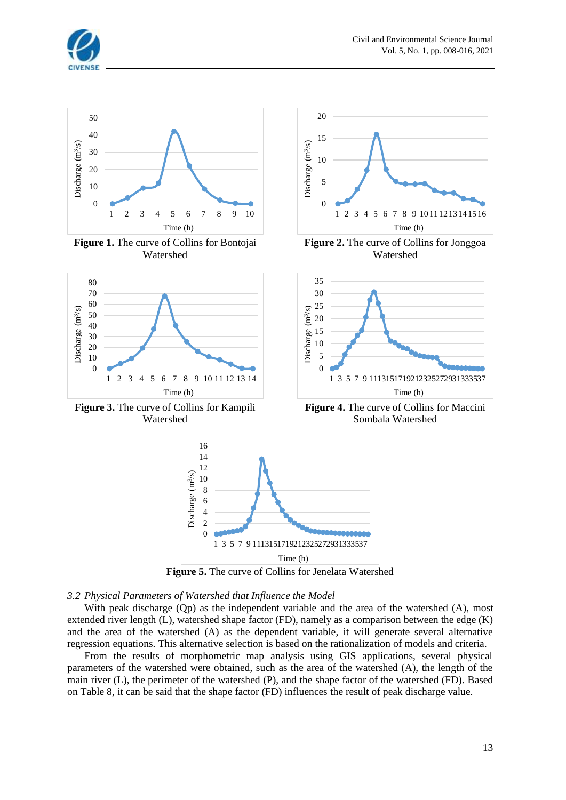



**Figure 5.** The curve of Collins for Jenelata Watershed

#### *3.2 Physical Parameters of Watershed that Influence the Model*

With peak discharge (Qp) as the independent variable and the area of the watershed (A), most extended river length (L), watershed shape factor (FD), namely as a comparison between the edge (K) and the area of the watershed (A) as the dependent variable, it will generate several alternative regression equations. This alternative selection is based on the rationalization of models and criteria.

From the results of morphometric map analysis using GIS applications, several physical parameters of the watershed were obtained, such as the area of the watershed (A), the length of the main river (L), the perimeter of the watershed (P), and the shape factor of the watershed (FD). Based on Table 8, it can be said that the shape factor (FD) influences the result of peak discharge value.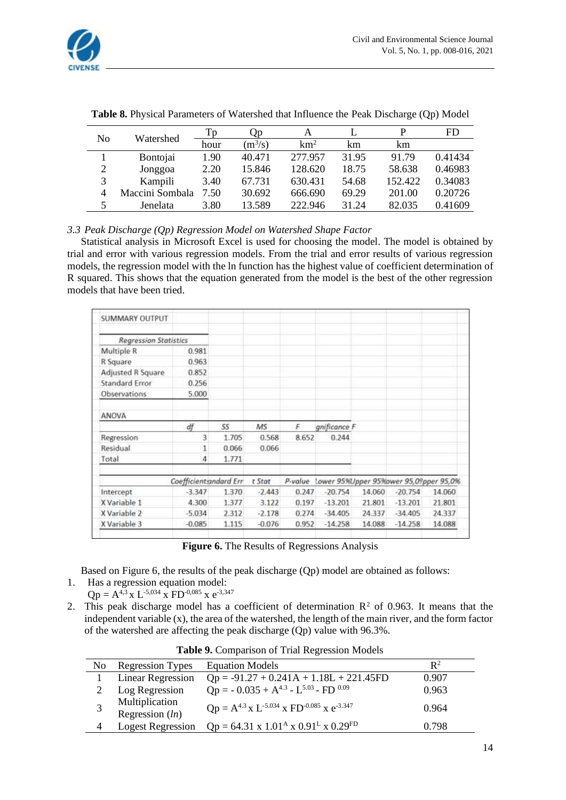

| No | Watershed       | Tр   | Ųр        | А          |       | D       | <b>FD</b> |
|----|-----------------|------|-----------|------------|-------|---------|-----------|
|    |                 | hour | $(m^3/s)$ | $\rm km^2$ | km    | km      |           |
|    | Bontojai        | 1.90 | 40.471    | 277.957    | 31.95 | 91.79   | 0.41434   |
| 2  | Jonggoa         | 2.20 | 15.846    | 128.620    | 18.75 | 58.638  | 0.46983   |
| 3  | Kampili         | 3.40 | 67.731    | 630.431    | 54.68 | 152.422 | 0.34083   |
| 4  | Maccini Sombala | 7.50 | 30.692    | 666.690    | 69.29 | 201.00  | 0.20726   |
| 5  | Jenelata        | 3.80 | 13.589    | 222.946    | 31.24 | 82.035  | 0.41609   |

**Table 8.** Physical Parameters of Watershed that Influence the Peak Discharge (Qp) Model

# *3.3 Peak Discharge (Qp) Regression Model on Watershed Shape Factor*

Statistical analysis in Microsoft Excel is used for choosing the model. The model is obtained by trial and error with various regression models. From the trial and error results of various regression models, the regression model with the ln function has the highest value of coefficient determination of R squared. This shows that the equation generated from the model is the best of the other regression models that have been tried.

| SUMMARY OUTPUT               |                        |       |          |         |              |                                        |           |        |
|------------------------------|------------------------|-------|----------|---------|--------------|----------------------------------------|-----------|--------|
| <b>Regression Statistics</b> |                        |       |          |         |              |                                        |           |        |
| Multiple R                   | 0.981                  |       |          |         |              |                                        |           |        |
| R Square                     | 0.963                  |       |          |         |              |                                        |           |        |
| Adjusted R Square            | 0.852                  |       |          |         |              |                                        |           |        |
| Standard Error               | 0.256                  |       |          |         |              |                                        |           |        |
| Observations                 | 5.000                  |       |          |         |              |                                        |           |        |
| ANOVA                        |                        |       |          |         |              |                                        |           |        |
|                              | df                     | SS    | MS       | F       | gnificance F |                                        |           |        |
| Regression                   | 3                      | 1.705 | 0.568    | 8.652   | 0.244        |                                        |           |        |
| Residual                     | 1                      | 0.066 | 0.066    |         |              |                                        |           |        |
| Total                        | 4                      | 1.771 |          |         |              |                                        |           |        |
|                              | Coefficient andard Err |       | t Stat   | P-value |              | Lower 95%Upper 95%ower 95,09pper 95,0% |           |        |
| Intercept                    | $-3.347$               | 1.370 | $-2.443$ | 0.247   | $-20.754$    | 14.060                                 | $-20.754$ | 14.060 |
| X Variable 1                 | 4.300                  | 1.377 | 3.122    | 0.197   | $-13.201$    | 21.801                                 | $-13.201$ | 21.801 |
| X Variable 2                 | $-5.034$               | 2.312 | $-2.178$ | 0.274   | $-34.405$    | 24.337                                 | $-34.405$ | 24.337 |
| X Variable 3                 | $-0.085$               | 1.115 | $-0.076$ | 0.952   | $-14.258$    | 14.088                                 | $-14.258$ | 14.088 |

**Figure 6.** The Results of Regressions Analysis

Based on Figure 6, the results of the peak discharge (Qp) model are obtained as follows:

- 1. Has a regression equation model:  $Qp = A^{4,3} \times L^{-5,034} \times F D^{-0,085} \times e^{-3,347}$
- 2. This peak discharge model has a coefficient of determination  $\mathbb{R}^2$  of 0.963. It means that the independent variable (x), the area of the watershed, the length of the main river, and the form factor of the watershed are affecting the peak discharge (Qp) value with 96.3%.

| N <sub>0</sub> | <b>Regression Types</b>             | <b>Equation Models</b>                                                             | $\mathbb{R}^2$ |  |  |  |  |
|----------------|-------------------------------------|------------------------------------------------------------------------------------|----------------|--|--|--|--|
|                | <b>Linear Regression</b>            | $Qp = -91.27 + 0.241A + 1.18L + 221.45FD$                                          | 0.907          |  |  |  |  |
|                | Log Regression                      | $Qp = -0.035 + A^{4.3} - L^{5.03} - FD^{0.09}$                                     | 0.963          |  |  |  |  |
|                | Multiplication<br>Regression $(ln)$ | $Qp = A^{4.3} x L^{-5.034} x FD^{-0.085} x e^{-3.347}$                             | 0.964          |  |  |  |  |
| 4              | <b>Logest Regression</b>            | $Qp = 64.31 \times 1.01^{\text{A}} \times 0.91^{\text{L}} \times 0.29^{\text{FD}}$ | 0.798          |  |  |  |  |

**Table 9.** Comparison of Trial Regression Models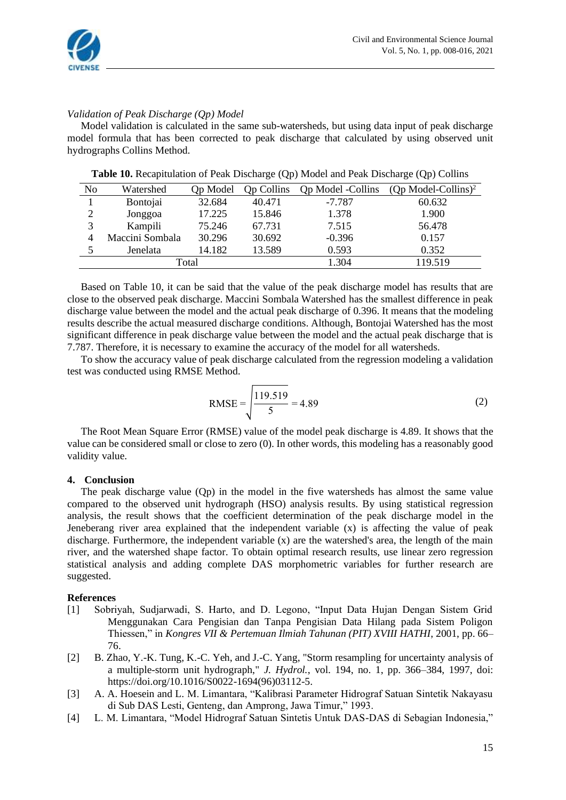

# *Validation of Peak Discharge (Qp) Model*

Model validation is calculated in the same sub-watersheds, but using data input of peak discharge model formula that has been corrected to peak discharge that calculated by using observed unit hydrographs Collins Method.

| No | Watershed       | Op Model | <b>Op Collins</b> | <b>Op Model -Collins</b> | $(Qp \text{ Model-Collins})^2$ |
|----|-----------------|----------|-------------------|--------------------------|--------------------------------|
|    | Bontojai        | 32.684   | 40.471            | $-7.787$                 | 60.632                         |
|    | Jonggoa         | 17.225   | 15.846            | 1.378                    | 1.900                          |
|    | Kampili         | 75.246   | 67.731            | 7.515                    | 56.478                         |
|    | Maccini Sombala | 30.296   | 30.692            | $-0.396$                 | 0.157                          |
|    | Jenelata        | 14.182   | 13.589            | 0.593                    | 0.352                          |
|    |                 | Total    | 1.304             | 119.519                  |                                |

**Table 10.** Recapitulation of Peak Discharge (Qp) Model and Peak Discharge (Qp) Collins

Based on Table 10, it can be said that the value of the peak discharge model has results that are close to the observed peak discharge. Maccini Sombala Watershed has the smallest difference in peak discharge value between the model and the actual peak discharge of 0.396. It means that the modeling results describe the actual measured discharge conditions. Although, Bontojai Watershed has the most significant difference in peak discharge value between the model and the actual peak discharge that is 7.787. Therefore, it is necessary to examine the accuracy of the model for all watersheds.

To show the accuracy value of peak discharge calculated from the regression modeling a validation test was conducted using RMSE Method.

RMSE = 
$$
\sqrt{\frac{119.519}{5}} = 4.89
$$
 (2)

The Root Mean Square Error (RMSE) value of the model peak discharge is 4.89. It shows that the value can be considered small or close to zero (0). In other words, this modeling has a reasonably good validity value.

#### **4. Conclusion**

The peak discharge value (Qp) in the model in the five watersheds has almost the same value compared to the observed unit hydrograph (HSO) analysis results. By using statistical regression analysis, the result shows that the coefficient determination of the peak discharge model in the Jeneberang river area explained that the independent variable (x) is affecting the value of peak discharge. Furthermore, the independent variable (x) are the watershed's area, the length of the main river, and the watershed shape factor. To obtain optimal research results, use linear zero regression statistical analysis and adding complete DAS morphometric variables for further research are suggested.

#### **References**

- [1] Sobriyah, Sudjarwadi, S. Harto, and D. Legono, "Input Data Hujan Dengan Sistem Grid Menggunakan Cara Pengisian dan Tanpa Pengisian Data Hilang pada Sistem Poligon Thiessen," in *Kongres VII & Pertemuan Ilmiah Tahunan (PIT) XVIII HATHI*, 2001, pp. 66– 76.
- [2] B. Zhao, Y.-K. Tung, K.-C. Yeh, and J.-C. Yang, "Storm resampling for uncertainty analysis of a multiple-storm unit hydrograph," *J. Hydrol.*, vol. 194, no. 1, pp. 366–384, 1997, doi: https://doi.org/10.1016/S0022-1694(96)03112-5.
- [3] A. A. Hoesein and L. M. Limantara, "Kalibrasi Parameter Hidrograf Satuan Sintetik Nakayasu di Sub DAS Lesti, Genteng, dan Amprong, Jawa Timur," 1993.
- [4] L. M. Limantara, "Model Hidrograf Satuan Sintetis Untuk DAS-DAS di Sebagian Indonesia,"